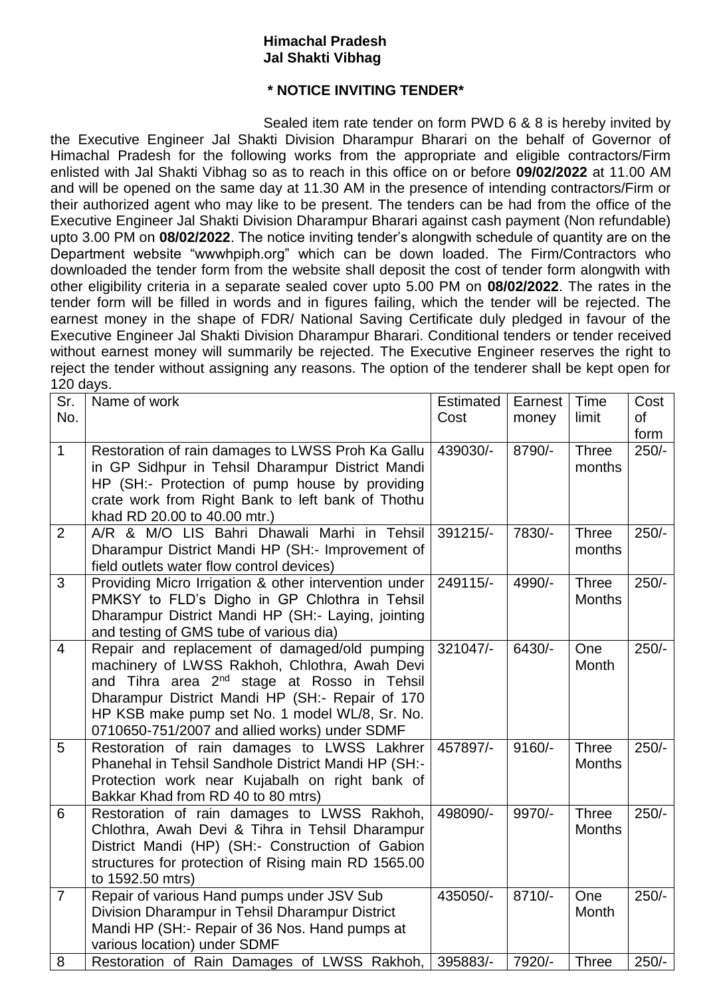## **Himachal Pradesh Jal Shakti Vibhag**

## **\* NOTICE INVITING TENDER\***

Sealed item rate tender on form PWD 6 & 8 is hereby invited by the Executive Engineer Jal Shakti Division Dharampur Bharari on the behalf of Governor of Himachal Pradesh for the following works from the appropriate and eligible contractors/Firm enlisted with Jal Shakti Vibhag so as to reach in this office on or before **09/02/2022** at 11.00 AM and will be opened on the same day at 11.30 AM in the presence of intending contractors/Firm or their authorized agent who may like to be present. The tenders can be had from the office of the Executive Engineer Jal Shakti Division Dharampur Bharari against cash payment (Non refundable) upto 3.00 PM on **08/02/2022**. The notice inviting tender's alongwith schedule of quantity are on the Department website "wwwhpiph.org" which can be down loaded. The Firm/Contractors who downloaded the tender form from the website shall deposit the cost of tender form alongwith with other eligibility criteria in a separate sealed cover upto 5.00 PM on **08/02/2022**. The rates in the tender form will be filled in words and in figures failing, which the tender will be rejected. The earnest money in the shape of FDR/ National Saving Certificate duly pledged in favour of the Executive Engineer Jal Shakti Division Dharampur Bharari. Conditional tenders or tender received without earnest money will summarily be rejected. The Executive Engineer reserves the right to reject the tender without assigning any reasons. The option of the tenderer shall be kept open for 120 days.

| Sr.<br>No.     | Name of work                                                                                                                                                                                                                                                                                                    | Estimated<br>Cost | Earnest<br>money | Time<br>limit                 | Cost<br>of<br>form |
|----------------|-----------------------------------------------------------------------------------------------------------------------------------------------------------------------------------------------------------------------------------------------------------------------------------------------------------------|-------------------|------------------|-------------------------------|--------------------|
| $\mathbf{1}$   | Restoration of rain damages to LWSS Proh Ka Gallu<br>in GP Sidhpur in Tehsil Dharampur District Mandi<br>HP (SH:- Protection of pump house by providing<br>crate work from Right Bank to left bank of Thothu<br>khad RD 20.00 to 40.00 mtr.)                                                                    | 439030/-          | 8790/-           | <b>Three</b><br>months        | $250/-$            |
| $\overline{2}$ | A/R & M/O LIS Bahri Dhawali Marhi in Tehsil<br>Dharampur District Mandi HP (SH:- Improvement of<br>field outlets water flow control devices)                                                                                                                                                                    | 391215/-          | 7830/-           | <b>Three</b><br>months        | $250/-$            |
| 3              | Providing Micro Irrigation & other intervention under<br>PMKSY to FLD's Digho in GP Chlothra in Tehsil<br>Dharampur District Mandi HP (SH:- Laying, jointing<br>and testing of GMS tube of various dia)                                                                                                         | 249115/-          | 4990/-           | <b>Three</b><br><b>Months</b> | $250/-$            |
| $\overline{4}$ | Repair and replacement of damaged/old pumping<br>machinery of LWSS Rakhoh, Chlothra, Awah Devi<br>and Tihra area 2 <sup>nd</sup> stage at Rosso in Tehsil<br>Dharampur District Mandi HP (SH:- Repair of 170<br>HP KSB make pump set No. 1 model WL/8, Sr. No.<br>0710650-751/2007 and allied works) under SDMF | 321047/-          | 6430/-           | One<br>Month                  | $250/-$            |
| 5              | Restoration of rain damages to LWSS Lakhrer<br>Phanehal in Tehsil Sandhole District Mandi HP (SH:-<br>Protection work near Kujabalh on right bank of<br>Bakkar Khad from RD 40 to 80 mtrs)                                                                                                                      | 457897/-          | $9160/-$         | <b>Three</b><br><b>Months</b> | $250/-$            |
| 6              | Restoration of rain damages to LWSS Rakhoh,<br>Chlothra, Awah Devi & Tihra in Tehsil Dharampur<br>District Mandi (HP) (SH:- Construction of Gabion<br>structures for protection of Rising main RD 1565.00<br>to 1592.50 mtrs)                                                                                   | 498090/-          | 9970/-           | <b>Three</b><br><b>Months</b> | $250/-$            |
| $\overline{7}$ | Repair of various Hand pumps under JSV Sub<br>Division Dharampur in Tehsil Dharampur District<br>Mandi HP (SH:- Repair of 36 Nos. Hand pumps at<br>various location) under SDMF                                                                                                                                 | 435050/-          | $8710/-$         | One<br>Month                  | $250/-$            |
| 8              | Restoration of Rain Damages of LWSS Rakhoh,                                                                                                                                                                                                                                                                     | 395883/-          | 7920/-           | <b>Three</b>                  | $250/-$            |